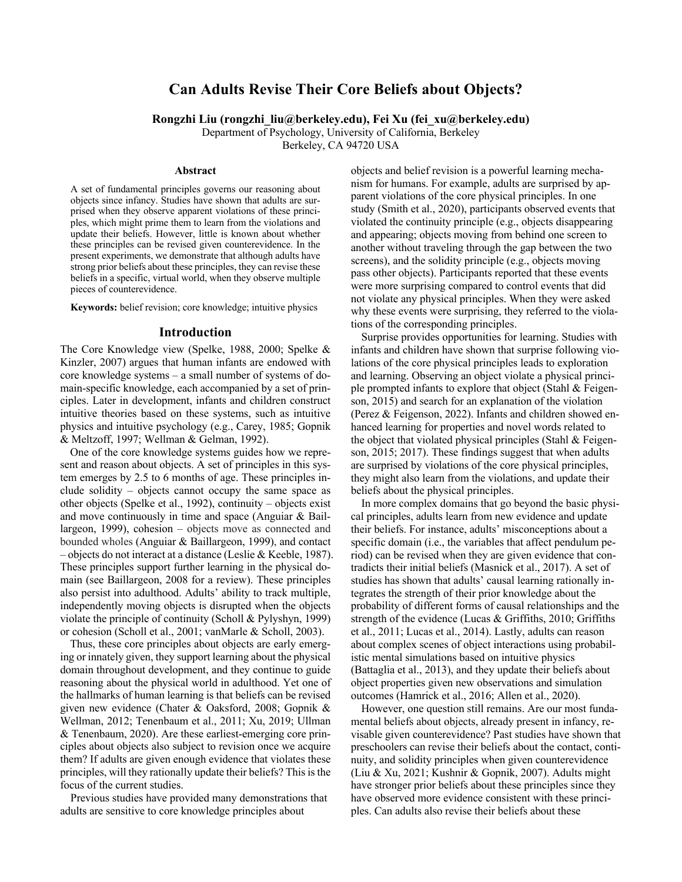# **Can Adults Revise Their Core Beliefs about Objects?**

**Rongzhi Liu (rongzhi\_liu@berkeley.edu), Fei Xu (fei\_xu@berkeley.edu)**

Department of Psychology, University of California, Berkeley

Berkeley, CA 94720 USA

#### **Abstract**

A set of fundamental principles governs our reasoning about objects since infancy. Studies have shown that adults are surprised when they observe apparent violations of these principles, which might prime them to learn from the violations and update their beliefs. However, little is known about whether these principles can be revised given counterevidence. In the present experiments, we demonstrate that although adults have strong prior beliefs about these principles, they can revise these beliefs in a specific, virtual world, when they observe multiple pieces of counterevidence.

**Keywords:** belief revision; core knowledge; intuitive physics

#### **Introduction**

The Core Knowledge view (Spelke, 1988, 2000; Spelke & Kinzler, 2007) argues that human infants are endowed with core knowledge systems – a small number of systems of domain-specific knowledge, each accompanied by a set of principles. Later in development, infants and children construct intuitive theories based on these systems, such as intuitive physics and intuitive psychology (e.g., Carey, 1985; Gopnik & Meltzoff, 1997; Wellman & Gelman, 1992).

One of the core knowledge systems guides how we represent and reason about objects. A set of principles in this system emerges by 2.5 to 6 months of age. These principles include solidity – objects cannot occupy the same space as other objects (Spelke et al., 1992), continuity – objects exist and move continuously in time and space (Anguiar & Baillargeon, 1999), cohesion – objects move as connected and bounded wholes (Anguiar & Baillargeon, 1999), and contact – objects do not interact at a distance (Leslie & Keeble, 1987). These principles support further learning in the physical domain (see Baillargeon, 2008 for a review). These principles also persist into adulthood. Adults' ability to track multiple, independently moving objects is disrupted when the objects violate the principle of continuity (Scholl & Pylyshyn, 1999) or cohesion (Scholl et al., 2001; vanMarle & Scholl, 2003).

Thus, these core principles about objects are early emerging or innately given, they support learning about the physical domain throughout development, and they continue to guide reasoning about the physical world in adulthood. Yet one of the hallmarks of human learning is that beliefs can be revised given new evidence (Chater & Oaksford, 2008; Gopnik & Wellman, 2012; Tenenbaum et al., 2011; Xu, 2019; Ullman & Tenenbaum, 2020). Are these earliest-emerging core principles about objects also subject to revision once we acquire them? If adults are given enough evidence that violates these principles, will they rationally update their beliefs? This is the focus of the current studies.

Previous studies have provided many demonstrations that adults are sensitive to core knowledge principles about

objects and belief revision is a powerful learning mechanism for humans. For example, adults are surprised by apparent violations of the core physical principles. In one study (Smith et al., 2020), participants observed events that violated the continuity principle (e.g., objects disappearing and appearing; objects moving from behind one screen to another without traveling through the gap between the two screens), and the solidity principle (e.g., objects moving pass other objects). Participants reported that these events were more surprising compared to control events that did not violate any physical principles. When they were asked why these events were surprising, they referred to the violations of the corresponding principles.

Surprise provides opportunities for learning. Studies with infants and children have shown that surprise following violations of the core physical principles leads to exploration and learning. Observing an object violate a physical principle prompted infants to explore that object (Stahl & Feigenson, 2015) and search for an explanation of the violation (Perez & Feigenson, 2022). Infants and children showed enhanced learning for properties and novel words related to the object that violated physical principles (Stahl & Feigenson, 2015; 2017). These findings suggest that when adults are surprised by violations of the core physical principles, they might also learn from the violations, and update their beliefs about the physical principles.

In more complex domains that go beyond the basic physical principles, adults learn from new evidence and update their beliefs. For instance, adults' misconceptions about a specific domain (i.e., the variables that affect pendulum period) can be revised when they are given evidence that contradicts their initial beliefs (Masnick et al., 2017). A set of studies has shown that adults' causal learning rationally integrates the strength of their prior knowledge about the probability of different forms of causal relationships and the strength of the evidence (Lucas & Griffiths, 2010; Griffiths et al., 2011; Lucas et al., 2014). Lastly, adults can reason about complex scenes of object interactions using probabilistic mental simulations based on intuitive physics (Battaglia et al., 2013), and they update their beliefs about object properties given new observations and simulation outcomes (Hamrick et al., 2016; Allen et al., 2020).

However, one question still remains. Are our most fundamental beliefs about objects, already present in infancy, revisable given counterevidence? Past studies have shown that preschoolers can revise their beliefs about the contact, continuity, and solidity principles when given counterevidence (Liu & Xu, 2021; Kushnir & Gopnik, 2007). Adults might have stronger prior beliefs about these principles since they have observed more evidence consistent with these principles. Can adults also revise their beliefs about these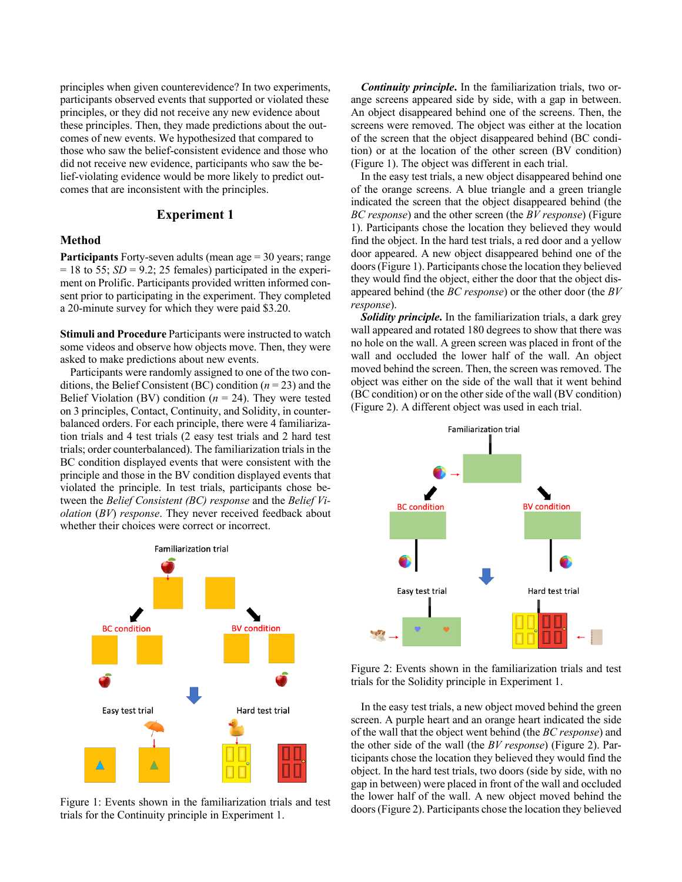principles when given counterevidence? In two experiments, participants observed events that supported or violated these principles, or they did not receive any new evidence about these principles. Then, they made predictions about the outcomes of new events. We hypothesized that compared to those who saw the belief-consistent evidence and those who did not receive new evidence, participants who saw the belief-violating evidence would be more likely to predict outcomes that are inconsistent with the principles.

# **Experiment 1**

#### **Method**

**Participants** Forty-seven adults (mean age = 30 years; range  $= 18$  to 55; *SD* = 9.2; 25 females) participated in the experiment on Prolific. Participants provided written informed consent prior to participating in the experiment. They completed a 20-minute survey for which they were paid \$3.20.

**Stimuli and Procedure** Participants were instructed to watch some videos and observe how objects move. Then, they were asked to make predictions about new events.

Participants were randomly assigned to one of the two conditions, the Belief Consistent (BC) condition (*n* = 23) and the Belief Violation (BV) condition  $(n = 24)$ . They were tested on 3 principles, Contact, Continuity, and Solidity, in counterbalanced orders. For each principle, there were 4 familiarization trials and 4 test trials (2 easy test trials and 2 hard test trials; order counterbalanced). The familiarization trials in the BC condition displayed events that were consistent with the principle and those in the BV condition displayed events that violated the principle. In test trials, participants chose between the *Belief Consistent (BC) response* and the *Belief Violation* (*BV*) *response*. They never received feedback about whether their choices were correct or incorrect.



Figure 1: Events shown in the familiarization trials and test trials for the Continuity principle in Experiment 1.

*Continuity principle***.** In the familiarization trials, two orange screens appeared side by side, with a gap in between. An object disappeared behind one of the screens. Then, the screens were removed. The object was either at the location of the screen that the object disappeared behind (BC condition) or at the location of the other screen (BV condition) (Figure 1). The object was different in each trial.

In the easy test trials, a new object disappeared behind one of the orange screens. A blue triangle and a green triangle indicated the screen that the object disappeared behind (the *BC response*) and the other screen (the *BV response*) (Figure 1). Participants chose the location they believed they would find the object. In the hard test trials, a red door and a yellow door appeared. A new object disappeared behind one of the doors (Figure 1). Participants chose the location they believed they would find the object, either the door that the object disappeared behind (the *BC response*) or the other door (the *BV response*).

*Solidity principle***.** In the familiarization trials, a dark grey wall appeared and rotated 180 degrees to show that there was no hole on the wall. A green screen was placed in front of the wall and occluded the lower half of the wall. An object moved behind the screen. Then, the screen was removed. The object was either on the side of the wall that it went behind (BC condition) or on the other side of the wall (BV condition) (Figure 2). A different object was used in each trial.



Figure 2: Events shown in the familiarization trials and test trials for the Solidity principle in Experiment 1.

In the easy test trials, a new object moved behind the green screen. A purple heart and an orange heart indicated the side of the wall that the object went behind (the *BC response*) and the other side of the wall (the *BV response*) (Figure 2). Participants chose the location they believed they would find the object. In the hard test trials, two doors (side by side, with no gap in between) were placed in front of the wall and occluded the lower half of the wall. A new object moved behind the doors (Figure 2). Participants chose the location they believed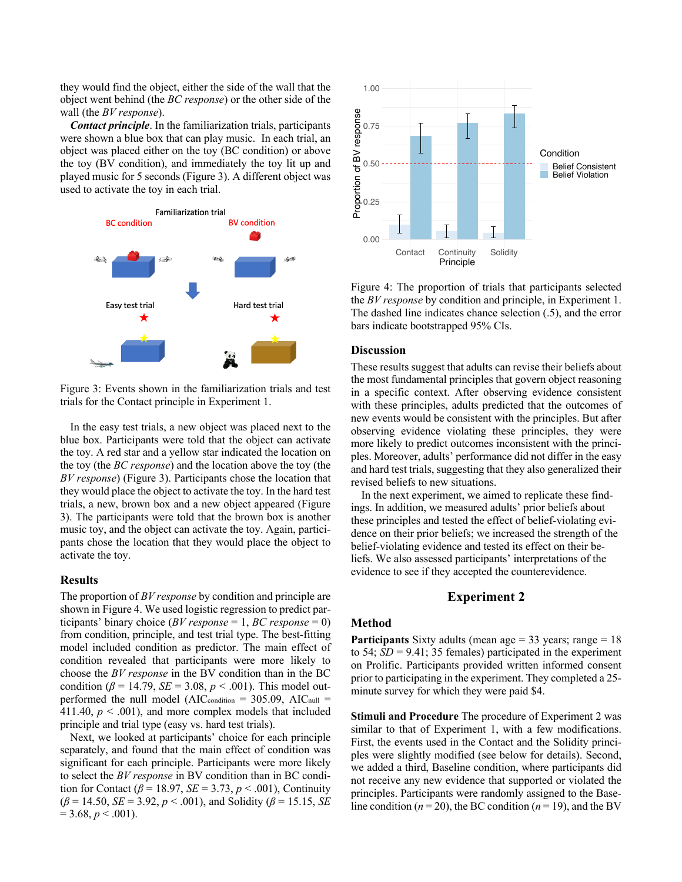they would find the object, either the side of the wall that the object went behind (the *BC response*) or the other side of the wall (the *BV response*).

*Contact principle*. In the familiarization trials, participants were shown a blue box that can play music. In each trial, an object was placed either on the toy (BC condition) or above the toy (BV condition), and immediately the toy lit up and played music for 5 seconds (Figure 3). A different object was used to activate the toy in each trial.



Figure 3: Events shown in the familiarization trials and test trials for the Contact principle in Experiment 1.

In the easy test trials, a new object was placed next to the blue box. Participants were told that the object can activate the toy. A red star and a yellow star indicated the location on the toy (the *BC response*) and the location above the toy (the *BV response*) (Figure 3). Participants chose the location that they would place the object to activate the toy. In the hard test trials, a new, brown box and a new object appeared (Figure 3). The participants were told that the brown box is another music toy, and the object can activate the toy. Again, participants chose the location that they would place the object to activate the toy.

### **Results**

The proportion of *BV response* by condition and principle are shown in Figure 4. We used logistic regression to predict participants' binary choice (*BV response* = 1, *BC response* = 0) from condition, principle, and test trial type. The best-fitting model included condition as predictor. The main effect of condition revealed that participants were more likely to choose the *BV response* in the BV condition than in the BC condition ( $\beta$  = 14.79, *SE* = 3.08, *p* < .001). This model outperformed the null model ( $AIC_{\text{condition}} = 305.09$ ,  $AIC_{\text{null}} =$ 411.40,  $p < .001$ ), and more complex models that included principle and trial type (easy vs. hard test trials).

Next, we looked at participants' choice for each principle separately, and found that the main effect of condition was significant for each principle. Participants were more likely to select the *BV response* in BV condition than in BC condition for Contact ( $\beta$  = 18.97, *SE* = 3.73, *p* < .001), Continuity  $(\beta = 14.50, \text{ SE} = 3.92, p < .001)$ , and Solidity ( $\beta = 15.15, \text{ SE}$ )  $= 3.68, p < .001$ ).



Figure 4: The proportion of trials that participants selected the *BV response* by condition and principle, in Experiment 1. The dashed line indicates chance selection (.5), and the error bars indicate bootstrapped 95% CIs.

# **Discussion**

These results suggest that adults can revise their beliefs about the most fundamental principles that govern object reasoning in a specific context. After observing evidence consistent with these principles, adults predicted that the outcomes of new events would be consistent with the principles. But after observing evidence violating these principles, they were more likely to predict outcomes inconsistent with the principles. Moreover, adults' performance did not differ in the easy and hard test trials, suggesting that they also generalized their revised beliefs to new situations.

In the next experiment, we aimed to replicate these findings. In addition, we measured adults' prior beliefs about these principles and tested the effect of belief-violating evidence on their prior beliefs; we increased the strength of the belief-violating evidence and tested its effect on their beliefs. We also assessed participants' interpretations of the evidence to see if they accepted the counterevidence.

### **Experiment 2**

### **Method**

**Participants** Sixty adults (mean age = 33 years; range = 18 to 54;  $SD = 9.41$ ; 35 females) participated in the experiment on Prolific. Participants provided written informed consent prior to participating in the experiment. They completed a 25 minute survey for which they were paid \$4.

**Stimuli and Procedure** The procedure of Experiment 2 was similar to that of Experiment 1, with a few modifications. First, the events used in the Contact and the Solidity principles were slightly modified (see below for details). Second, we added a third, Baseline condition, where participants did not receive any new evidence that supported or violated the principles. Participants were randomly assigned to the Baseline condition ( $n = 20$ ), the BC condition ( $n = 19$ ), and the BV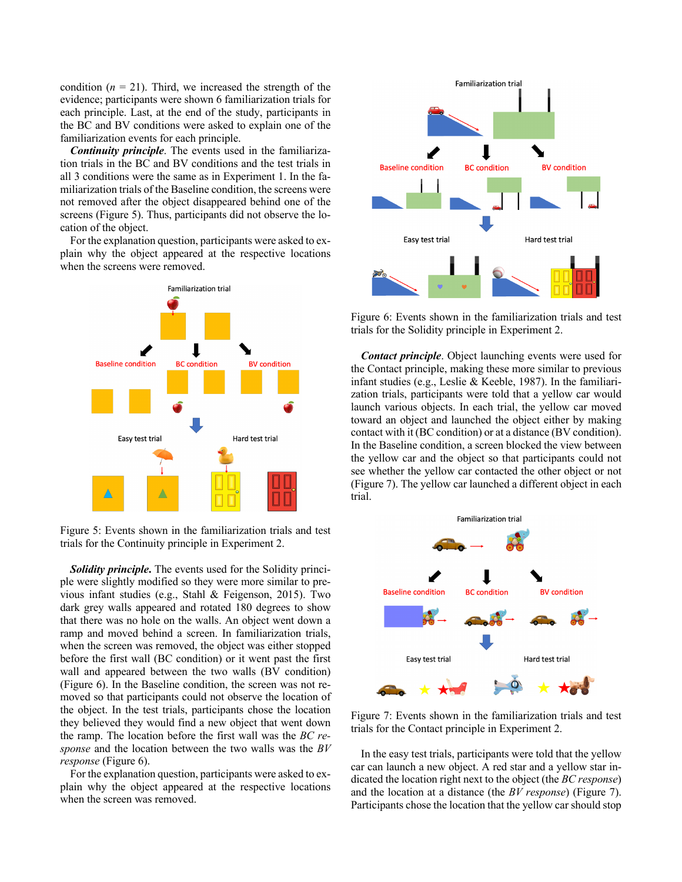condition  $(n = 21)$ . Third, we increased the strength of the evidence; participants were shown 6 familiarization trials for each principle. Last, at the end of the study, participants in the BC and BV conditions were asked to explain one of the familiarization events for each principle.

*Continuity principle*. The events used in the familiarization trials in the BC and BV conditions and the test trials in all 3 conditions were the same as in Experiment 1. In the familiarization trials of the Baseline condition, the screens were not removed after the object disappeared behind one of the screens (Figure 5). Thus, participants did not observe the location of the object.

For the explanation question, participants were asked to explain why the object appeared at the respective locations when the screens were removed.



Figure 5: Events shown in the familiarization trials and test trials for the Continuity principle in Experiment 2.

*Solidity principle***.** The events used for the Solidity principle were slightly modified so they were more similar to previous infant studies (e.g., Stahl & Feigenson, 2015). Two dark grey walls appeared and rotated 180 degrees to show that there was no hole on the walls. An object went down a ramp and moved behind a screen. In familiarization trials, when the screen was removed, the object was either stopped before the first wall (BC condition) or it went past the first wall and appeared between the two walls (BV condition) (Figure 6). In the Baseline condition, the screen was not removed so that participants could not observe the location of the object. In the test trials, participants chose the location they believed they would find a new object that went down the ramp. The location before the first wall was the *BC response* and the location between the two walls was the *BV response* (Figure 6).

For the explanation question, participants were asked to explain why the object appeared at the respective locations when the screen was removed.



Figure 6: Events shown in the familiarization trials and test trials for the Solidity principle in Experiment 2.

*Contact principle*. Object launching events were used for the Contact principle, making these more similar to previous infant studies (e.g., Leslie & Keeble, 1987). In the familiarization trials, participants were told that a yellow car would launch various objects. In each trial, the yellow car moved toward an object and launched the object either by making contact with it (BC condition) or at a distance (BV condition). In the Baseline condition, a screen blocked the view between the yellow car and the object so that participants could not see whether the yellow car contacted the other object or not (Figure 7). The yellow car launched a different object in each trial.



Figure 7: Events shown in the familiarization trials and test trials for the Contact principle in Experiment 2.

In the easy test trials, participants were told that the yellow car can launch a new object. A red star and a yellow star indicated the location right next to the object (the *BC response*) and the location at a distance (the *BV response*) (Figure 7). Participants chose the location that the yellow car should stop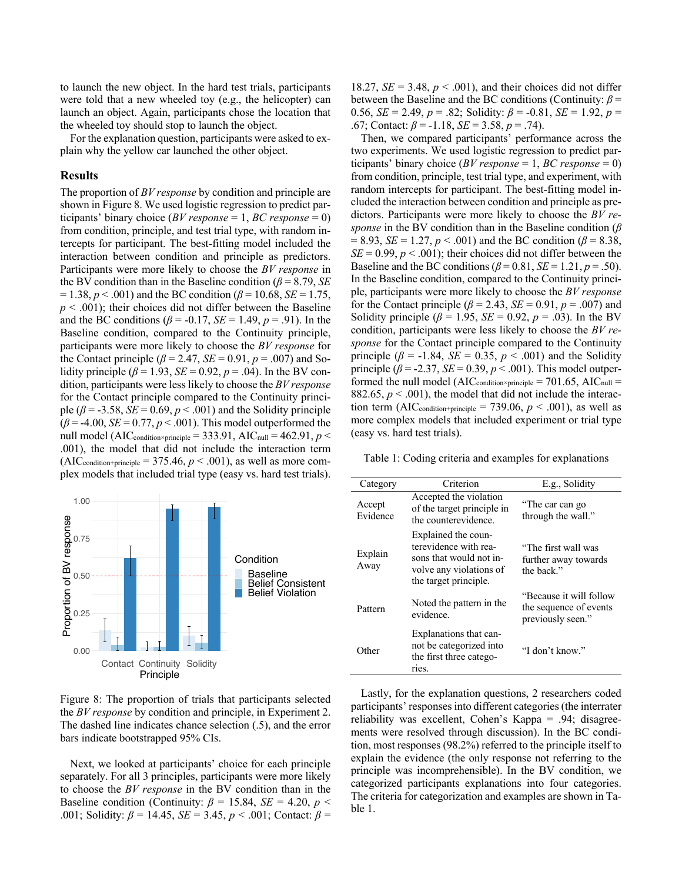to launch the new object. In the hard test trials, participants were told that a new wheeled toy (e.g., the helicopter) can launch an object. Again, participants chose the location that the wheeled toy should stop to launch the object.

For the explanation question, participants were asked to explain why the yellow car launched the other object.

#### **Results**

The proportion of *BV response* by condition and principle are shown in Figure 8. We used logistic regression to predict participants' binary choice (*BV response* = 1, *BC response* = 0) from condition, principle, and test trial type, with random intercepts for participant. The best-fitting model included the interaction between condition and principle as predictors. Participants were more likely to choose the *BV response* in the BV condition than in the Baseline condition (*β* = 8.79, *SE*  $= 1.38, p < .001$ ) and the BC condition ( $\beta = 10.68$ , *SE* = 1.75,  $p < .001$ ); their choices did not differ between the Baseline and the BC conditions ( $\beta$  = -0.17, *SE* = 1.49, *p* = .91). In the Baseline condition, compared to the Continuity principle, participants were more likely to choose the *BV response* for the Contact principle ( $\beta$  = 2.47, *SE* = 0.91,  $p$  = .007) and Solidity principle ( $\beta$  = 1.93, *SE* = 0.92,  $p$  = .04). In the BV condition, participants were less likely to choose the *BV response*  for the Contact principle compared to the Continuity principle ( $\beta$  = -3.58, *SE* = 0.69,  $p$  < .001) and the Solidity principle  $(\beta = -4.00, SE = 0.77, p < .001)$ . This model outperformed the null model (AIC<sub>condition×principle</sub> = 333.91, AIC<sub>null</sub> = 462.91,  $p$  < .001), the model that did not include the interaction term  $(AIC_{condition+principle} = 375.46, p < .001)$ , as well as more complex models that included trial type (easy vs. hard test trials).



Figure 8: The proportion of trials that participants selected the *BV response* by condition and principle, in Experiment 2. The dashed line indicates chance selection (.5), and the error bars indicate bootstrapped 95% CIs.

Next, we looked at participants' choice for each principle separately. For all 3 principles, participants were more likely to choose the *BV response* in the BV condition than in the Baseline condition (Continuity:  $\beta = 15.84$ , *SE* = 4.20, *p* < .001; Solidity: *β* = 14.45, *SE* = 3.45, *p* < .001; Contact: *β* =

18.27,  $SE = 3.48$ ,  $p < .001$ ), and their choices did not differ between the Baseline and the BC conditions (Continuity: *β* = 0.56, *SE* = 2.49, *p* = .82; Solidity:  $\beta$  = -0.81, *SE* = 1.92, *p* = .67; Contact: *β* = -1.18, *SE* = 3.58, *p* = .74).

Then, we compared participants' performance across the two experiments. We used logistic regression to predict participants' binary choice (*BV response* = 1, *BC response* = 0) from condition, principle, test trial type, and experiment, with random intercepts for participant. The best-fitting model included the interaction between condition and principle as predictors. Participants were more likely to choose the *BV response* in the BV condition than in the Baseline condition (*β*  $= 8.93, SE = 1.27, p < .001$  and the BC condition ( $\beta = 8.38$ ,  $SE = 0.99$ ,  $p < .001$ ); their choices did not differ between the Baseline and the BC conditions  $(\beta = 0.81, SE = 1.21, p = .50)$ . In the Baseline condition, compared to the Continuity principle, participants were more likely to choose the *BV response*  for the Contact principle ( $\beta$  = 2.43, *SE* = 0.91,  $p$  = .007) and Solidity principle ( $\beta$  = 1.95, *SE* = 0.92,  $p$  = .03). In the BV condition, participants were less likely to choose the *BV response* for the Contact principle compared to the Continuity principle ( $\beta$  = -1.84, *SE* = 0.35,  $p < .001$ ) and the Solidity principle ( $\beta$  = -2.37, *SE* = 0.39,  $p < .001$ ). This model outperformed the null model ( $AIC_{\text{condition}^{\times}principle} = 701.65, AIC_{\text{null}} =$ 882.65,  $p < .001$ ), the model that did not include the interaction term (AIC<sub>condition+principle</sub> = 739.06,  $p < .001$ ), as well as more complex models that included experiment or trial type (easy vs. hard test trials).

Table 1: Coding criteria and examples for explanations

| Category           | Criterion                                                                                                                   | E.g., Solidity                                                          |
|--------------------|-----------------------------------------------------------------------------------------------------------------------------|-------------------------------------------------------------------------|
| Accept<br>Evidence | Accepted the violation<br>of the target principle in<br>the counterevidence.                                                | "The car can go<br>through the wall."                                   |
| Explain<br>Away    | Explained the coun-<br>terevidence with rea-<br>sons that would not in-<br>volve any violations of<br>the target principle. | "The first wall was<br>further away towards<br>the back."               |
| Pattern            | Noted the pattern in the.<br>evidence.                                                                                      | "Because it will follow"<br>the sequence of events<br>previously seen." |
| Other              | Explanations that can-<br>not be categorized into<br>the first three catego-<br>ries.                                       | "I don't know."                                                         |

Lastly, for the explanation questions, 2 researchers coded participants' responses into different categories (the interrater reliability was excellent, Cohen's Kappa = .94; disagreements were resolved through discussion). In the BC condition, most responses (98.2%) referred to the principle itself to explain the evidence (the only response not referring to the principle was incomprehensible). In the BV condition, we categorized participants explanations into four categories. The criteria for categorization and examples are shown in Table 1.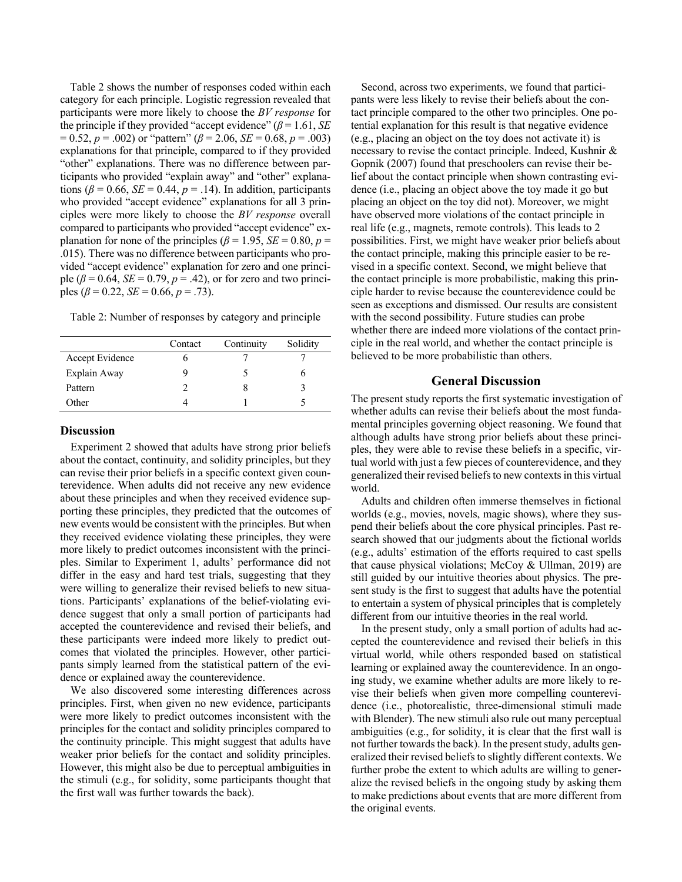Table 2 shows the number of responses coded within each category for each principle. Logistic regression revealed that participants were more likely to choose the *BV response* for the principle if they provided "accept evidence" ( $\beta$  = 1.61, *SE*)  $= 0.52, p = .002$  or "pattern" ( $\beta = 2.06$ ,  $SE = 0.68, p = .003$ ) explanations for that principle, compared to if they provided "other" explanations. There was no difference between participants who provided "explain away" and "other" explanations ( $\beta$  = 0.66, *SE* = 0.44,  $p$  = .14). In addition, participants who provided "accept evidence" explanations for all 3 principles were more likely to choose the *BV response* overall compared to participants who provided "accept evidence" explanation for none of the principles ( $\beta$  = 1.95, *SE* = 0.80, *p* = .015). There was no difference between participants who provided "accept evidence" explanation for zero and one principle ( $\beta$  = 0.64, *SE* = 0.79,  $p$  = .42), or for zero and two principles ( $\beta$  = 0.22, *SE* = 0.66, *p* = .73).

Table 2: Number of responses by category and principle

|                 | Contact | Continuity | Solidity |
|-----------------|---------|------------|----------|
| Accept Evidence |         |            |          |
| Explain Away    |         |            |          |
| Pattern         |         |            |          |
| Other           |         |            |          |

### **Discussion**

Experiment 2 showed that adults have strong prior beliefs about the contact, continuity, and solidity principles, but they can revise their prior beliefs in a specific context given counterevidence. When adults did not receive any new evidence about these principles and when they received evidence supporting these principles, they predicted that the outcomes of new events would be consistent with the principles. But when they received evidence violating these principles, they were more likely to predict outcomes inconsistent with the principles. Similar to Experiment 1, adults' performance did not differ in the easy and hard test trials, suggesting that they were willing to generalize their revised beliefs to new situations. Participants' explanations of the belief-violating evidence suggest that only a small portion of participants had accepted the counterevidence and revised their beliefs, and these participants were indeed more likely to predict outcomes that violated the principles. However, other participants simply learned from the statistical pattern of the evidence or explained away the counterevidence.

We also discovered some interesting differences across principles. First, when given no new evidence, participants were more likely to predict outcomes inconsistent with the principles for the contact and solidity principles compared to the continuity principle. This might suggest that adults have weaker prior beliefs for the contact and solidity principles. However, this might also be due to perceptual ambiguities in the stimuli (e.g., for solidity, some participants thought that the first wall was further towards the back).

Second, across two experiments, we found that participants were less likely to revise their beliefs about the contact principle compared to the other two principles. One potential explanation for this result is that negative evidence (e.g., placing an object on the toy does not activate it) is necessary to revise the contact principle. Indeed, Kushnir & Gopnik (2007) found that preschoolers can revise their belief about the contact principle when shown contrasting evidence (i.e., placing an object above the toy made it go but placing an object on the toy did not). Moreover, we might have observed more violations of the contact principle in real life (e.g., magnets, remote controls). This leads to 2 possibilities. First, we might have weaker prior beliefs about the contact principle, making this principle easier to be revised in a specific context. Second, we might believe that the contact principle is more probabilistic, making this principle harder to revise because the counterevidence could be seen as exceptions and dismissed. Our results are consistent with the second possibility. Future studies can probe whether there are indeed more violations of the contact principle in the real world, and whether the contact principle is believed to be more probabilistic than others.

## **General Discussion**

The present study reports the first systematic investigation of whether adults can revise their beliefs about the most fundamental principles governing object reasoning. We found that although adults have strong prior beliefs about these principles, they were able to revise these beliefs in a specific, virtual world with just a few pieces of counterevidence, and they generalized their revised beliefs to new contextsin this virtual world.

Adults and children often immerse themselves in fictional worlds (e.g., movies, novels, magic shows), where they suspend their beliefs about the core physical principles. Past research showed that our judgments about the fictional worlds (e.g., adults' estimation of the efforts required to cast spells that cause physical violations; McCoy & Ullman, 2019) are still guided by our intuitive theories about physics. The present study is the first to suggest that adults have the potential to entertain a system of physical principles that is completely different from our intuitive theories in the real world.

In the present study, only a small portion of adults had accepted the counterevidence and revised their beliefs in this virtual world, while others responded based on statistical learning or explained away the counterevidence. In an ongoing study, we examine whether adults are more likely to revise their beliefs when given more compelling counterevidence (i.e., photorealistic, three-dimensional stimuli made with Blender). The new stimuli also rule out many perceptual ambiguities (e.g., for solidity, it is clear that the first wall is not further towards the back). In the present study, adults generalized their revised beliefs to slightly different contexts. We further probe the extent to which adults are willing to generalize the revised beliefs in the ongoing study by asking them to make predictions about events that are more different from the original events.